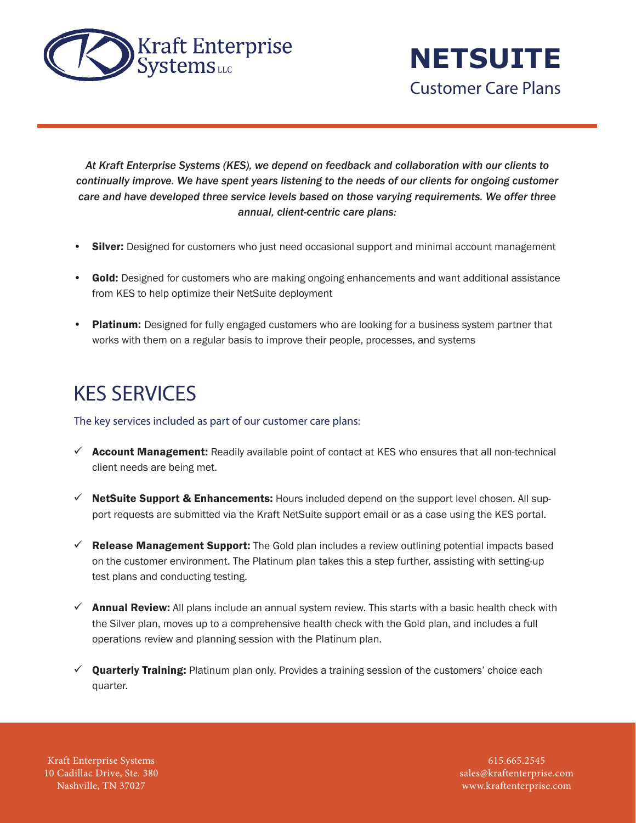

**NETSUITE** Customer Care Plans

*At Kraft Enterprise Systems (KES), we depend on feedback and collaboration with our clients to continually improve. We have spent years listening to the needs of our clients for ongoing customer care and have developed three service levels based on those varying requirements. We offer three annual, client-centric care plans:*

- **Silver:** Designed for customers who just need occasional support and minimal account management
- Gold: Designed for customers who are making ongoing enhancements and want additional assistance from KES to help optimize their NetSuite deployment
- **Platinum:** Designed for fully engaged customers who are looking for a business system partner that works with them on a regular basis to improve their people, processes, and systems

## KES SERVICES

The key services included as part of our customer care plans:

- $\checkmark$  Account Management: Readily available point of contact at KES who ensures that all non-technical client needs are being met.
- $\checkmark$  NetSuite Support & Enhancements: Hours included depend on the support level chosen. All support requests are submitted via the Kraft NetSuite support email or as a case using the KES portal.
- $\checkmark$  Release Management Support: The Gold plan includes a review outlining potential impacts based on the customer environment. The Platinum plan takes this a step further, assisting with setting-up test plans and conducting testing.
- $\checkmark$  Annual Review: All plans include an annual system review. This starts with a basic health check with the Silver plan, moves up to a comprehensive health check with the Gold plan, and includes a full operations review and planning session with the Platinum plan.
- $\checkmark$  Quarterly Training: Platinum plan only. Provides a training session of the customers' choice each quarter.

Kraft Enterprise Systems 10 Cadillac Drive, Ste. 380 Nashville, TN 37027

615.665.2545 sales@kraftenterprise.com www.kraftenterprise.com